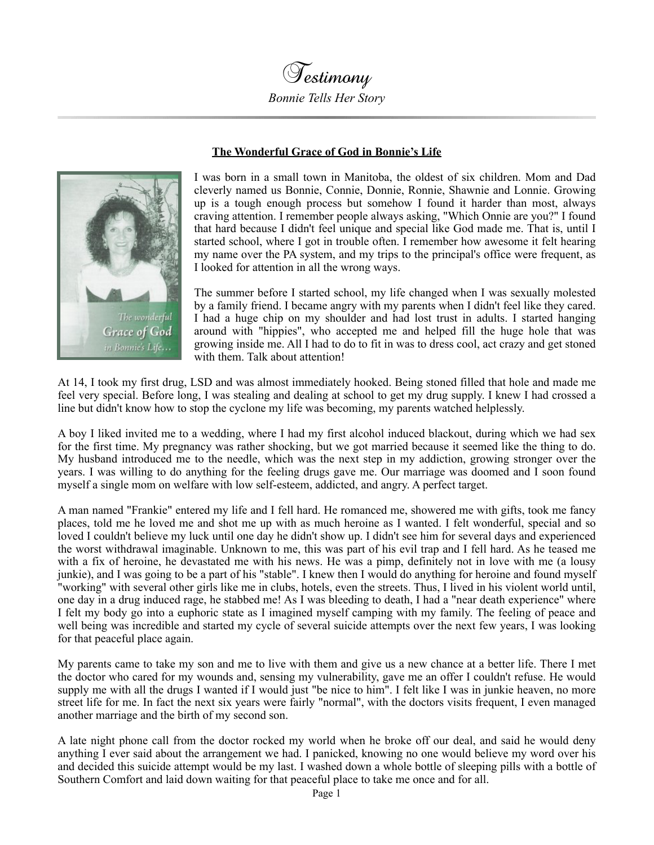

## **The Wonderful Grace of God in Bonnie's Life**



I was born in a small town in Manitoba, the oldest of six children. Mom and Dad cleverly named us Bonnie, Connie, Donnie, Ronnie, Shawnie and Lonnie. Growing up is a tough enough process but somehow I found it harder than most, always craving attention. I remember people always asking, "Which Onnie are you?" I found that hard because I didn't feel unique and special like God made me. That is, until I started school, where I got in trouble often. I remember how awesome it felt hearing my name over the PA system, and my trips to the principal's office were frequent, as I looked for attention in all the wrong ways.

The summer before I started school, my life changed when I was sexually molested by a family friend. I became angry with my parents when I didn't feel like they cared. I had a huge chip on my shoulder and had lost trust in adults. I started hanging around with "hippies", who accepted me and helped fill the huge hole that was growing inside me. All I had to do to fit in was to dress cool, act crazy and get stoned with them. Talk about attention!

At 14, I took my first drug, LSD and was almost immediately hooked. Being stoned filled that hole and made me feel very special. Before long, I was stealing and dealing at school to get my drug supply. I knew I had crossed a line but didn't know how to stop the cyclone my life was becoming, my parents watched helplessly.

A boy I liked invited me to a wedding, where I had my first alcohol induced blackout, during which we had sex for the first time. My pregnancy was rather shocking, but we got married because it seemed like the thing to do. My husband introduced me to the needle, which was the next step in my addiction, growing stronger over the years. I was willing to do anything for the feeling drugs gave me. Our marriage was doomed and I soon found myself a single mom on welfare with low self-esteem, addicted, and angry. A perfect target.

A man named "Frankie" entered my life and I fell hard. He romanced me, showered me with gifts, took me fancy places, told me he loved me and shot me up with as much heroine as I wanted. I felt wonderful, special and so loved I couldn't believe my luck until one day he didn't show up. I didn't see him for several days and experienced the worst withdrawal imaginable. Unknown to me, this was part of his evil trap and I fell hard. As he teased me with a fix of heroine, he devastated me with his news. He was a pimp, definitely not in love with me (a lousy junkie), and I was going to be a part of his "stable". I knew then I would do anything for heroine and found myself "working" with several other girls like me in clubs, hotels, even the streets. Thus, I lived in his violent world until, one day in a drug induced rage, he stabbed me! As I was bleeding to death, I had a "near death experience" where I felt my body go into a euphoric state as I imagined myself camping with my family. The feeling of peace and well being was incredible and started my cycle of several suicide attempts over the next few years, I was looking for that peaceful place again.

My parents came to take my son and me to live with them and give us a new chance at a better life. There I met the doctor who cared for my wounds and, sensing my vulnerability, gave me an offer I couldn't refuse. He would supply me with all the drugs I wanted if I would just "be nice to him". I felt like I was in junkie heaven, no more street life for me. In fact the next six years were fairly "normal", with the doctors visits frequent, I even managed another marriage and the birth of my second son.

A late night phone call from the doctor rocked my world when he broke off our deal, and said he would deny anything I ever said about the arrangement we had. I panicked, knowing no one would believe my word over his and decided this suicide attempt would be my last. I washed down a whole bottle of sleeping pills with a bottle of Southern Comfort and laid down waiting for that peaceful place to take me once and for all.